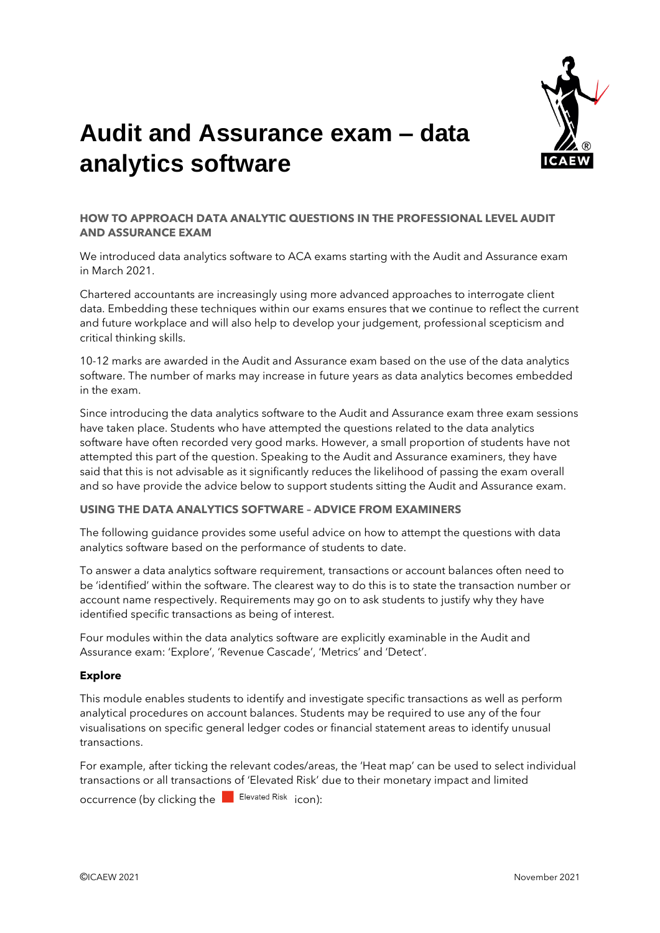

# **Audit and Assurance exam – data analytics software**

## **HOW TO APPROACH DATA ANALYTIC QUESTIONS IN THE PROFESSIONAL LEVEL AUDIT AND ASSURANCE EXAM**

We introduced data analytics software to ACA exams starting with the Audit and Assurance exam in March 2021.

Chartered accountants are increasingly using more advanced approaches to interrogate client data. Embedding these techniques within our exams ensures that we continue to reflect the current and future workplace and will also help to develop your judgement, professional scepticism and critical thinking skills.

10-12 marks are awarded in the Audit and Assurance exam based on the use of the data analytics software. The number of marks may increase in future years as data analytics becomes embedded in the exam.

Since introducing the data analytics software to the Audit and Assurance exam three exam sessions have taken place. Students who have attempted the questions related to the data analytics software have often recorded very good marks. However, a small proportion of students have not attempted this part of the question. Speaking to the Audit and Assurance examiners, they have said that this is not advisable as it significantly reduces the likelihood of passing the exam overall and so have provide the advice below to support students sitting the Audit and Assurance exam.

## **USING THE DATA ANALYTICS SOFTWARE – ADVICE FROM EXAMINERS**

The following guidance provides some useful advice on how to attempt the questions with data analytics software based on the performance of students to date.

To answer a data analytics software requirement, transactions or account balances often need to be 'identified' within the software. The clearest way to do this is to state the transaction number or account name respectively. Requirements may go on to ask students to justify why they have identified specific transactions as being of interest.

Four modules within the data analytics software are explicitly examinable in the Audit and Assurance exam: 'Explore', 'Revenue Cascade', 'Metrics' and 'Detect'.

#### **Explore**

This module enables students to identify and investigate specific transactions as well as perform analytical procedures on account balances. Students may be required to use any of the four visualisations on specific general ledger codes or financial statement areas to identify unusual transactions.

For example, after ticking the relevant codes/areas, the 'Heat map' can be used to select individual transactions or all transactions of 'Elevated Risk' due to their monetary impact and limited occurrence (by clicking the  $\Box$  Elevated Risk icon):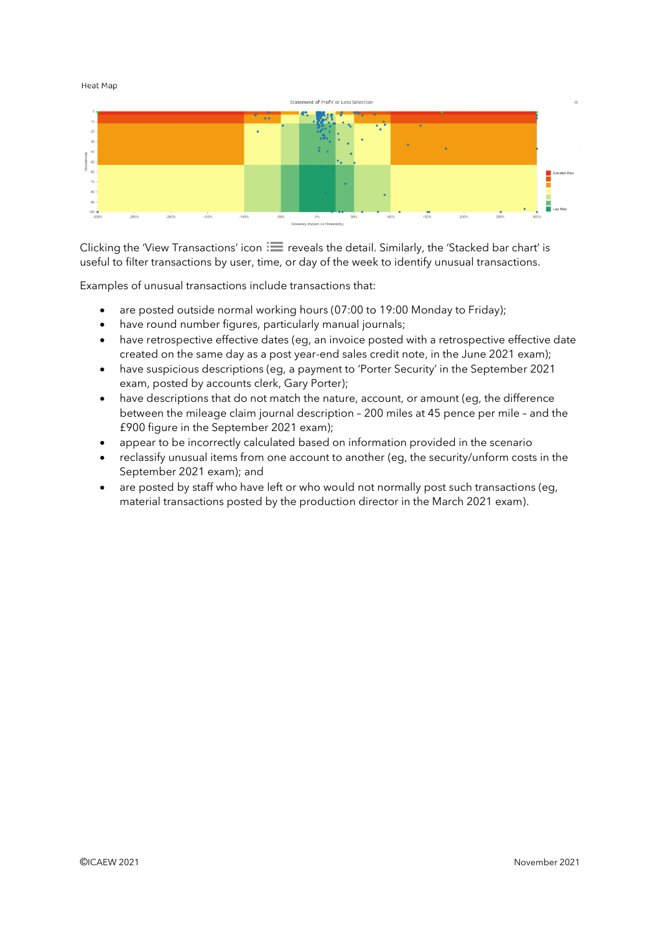Heat Map



Clicking the 'View Transactions' icon  $\equiv$  reveals the detail. Similarly, the 'Stacked bar chart' is useful to filter transactions by user, time, or day of the week to identify unusual transactions.

Examples of unusual transactions include transactions that:

- are posted outside normal working hours (07:00 to 19:00 Monday to Friday);
- have round number figures, particularly manual journals;
- have retrospective effective dates (eg, an invoice posted with a retrospective effective date created on the same day as a post year-end sales credit note, in the June 2021 exam);
- have suspicious descriptions (eg, a payment to 'Porter Security' in the September 2021 exam, posted by accounts clerk, Gary Porter);
- have descriptions that do not match the nature, account, or amount (eq. the difference between the mileage claim journal description – 200 miles at 45 pence per mile – and the £900 figure in the September 2021 exam);
- appear to be incorrectly calculated based on information provided in the scenario
- reclassify unusual items from one account to another (eg, the security/unform costs in the September 2021 exam); and
- are posted by staff who have left or who would not normally post such transactions (eg, material transactions posted by the production director in the March 2021 exam).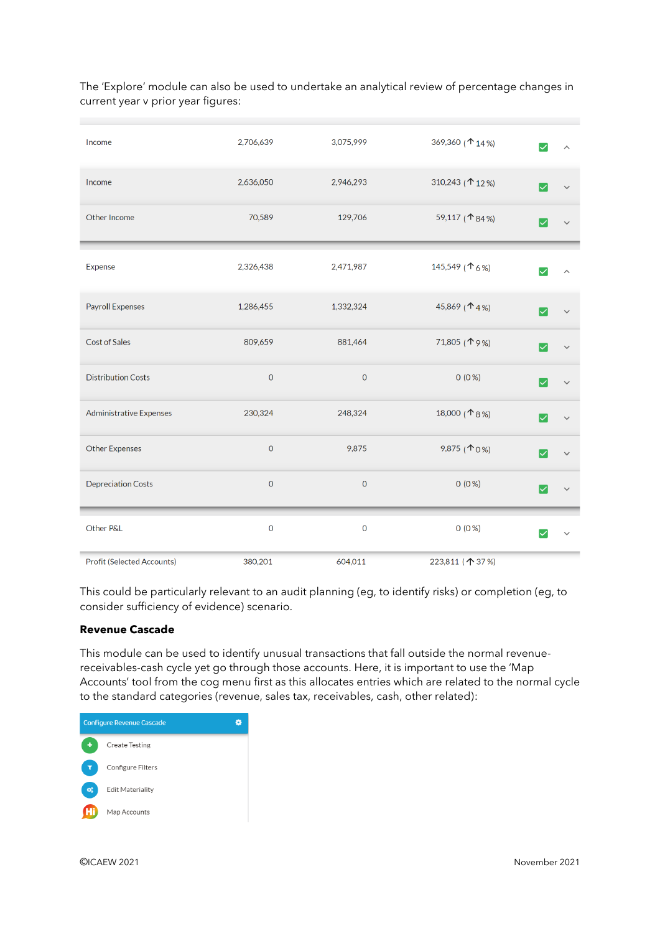The 'Explore' module can also be used to undertake an analytical review of percentage changes in current year v prior year figures:

| Income                     | 2,706,639           | 3,075,999           | 369,360 (↑ 14%)         |                           |
|----------------------------|---------------------|---------------------|-------------------------|---------------------------|
| Income                     | 2,636,050           | 2,946,293           | 310,243 (↑ 12%)         |                           |
| Other Income               | 70,589              | 129,706             | 59,117 (↑84%)           |                           |
| Expense                    | 2,326,438           | 2,471,987           | 145,549 (↑6%)           | $\vert\!\!\sqrt{ } \vert$ |
| Payroll Expenses           | 1,286,455           | 1,332,324           | 45,869 ( $\uparrow$ 4%) | ✓                         |
| Cost of Sales              | 809,659             | 881,464             | 71,805 (19%)            |                           |
| <b>Distribution Costs</b>  | $\mathbf 0$         | $\mathbf 0$         | $0(0\%)$                |                           |
| Administrative Expenses    | 230,324             | 248,324             | 18,000 (↑8%)            |                           |
| <b>Other Expenses</b>      | $\mathsf{O}\xspace$ | 9,875               | 9,875 ( $\uparrow$ 0%)  |                           |
| <b>Depreciation Costs</b>  | $\mathsf{O}\xspace$ | $\mathbf 0$         | $0(0\%)$                |                           |
| Other P&L                  | $\mathbf 0$         | $\mathsf{O}\xspace$ | $0(0\%)$                |                           |
| Profit (Selected Accounts) | 380,201             | 604,011             | 223,811 (个 37%)         |                           |

This could be particularly relevant to an audit planning (eg, to identify risks) or completion (eg, to consider sufficiency of evidence) scenario.

## **Revenue Cascade**

This module can be used to identify unusual transactions that fall outside the normal revenuereceivables-cash cycle yet go through those accounts. Here, it is important to use the 'Map Accounts' tool from the cog menu first as this allocates entries which are related to the normal cycle to the standard categories (revenue, sales tax, receivables, cash, other related):

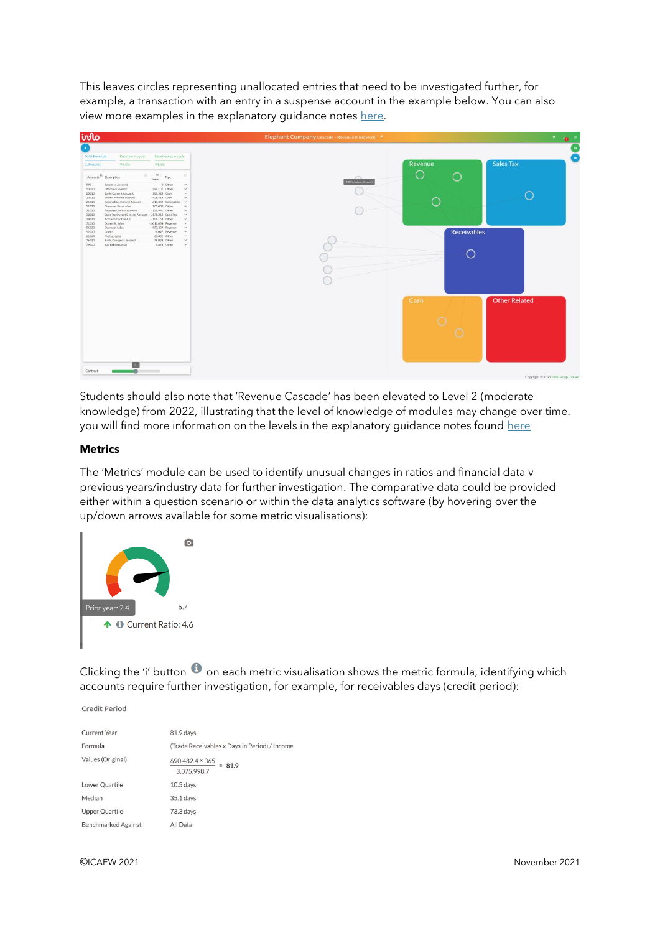This leaves circles representing unallocated entries that need to be investigated further, for example, a transaction with an entry in a suspense account in the example below. You can also view more examples in the explanatory guidance notes [here.](https://www.icaew.com/-/media/corporate/files/for-current-aca-students/changes-to-exams/aa-das/audit-and-assurance---das-guidance-notes-updated-28-4-21.ashx?la=en)



Students should also note that 'Revenue Cascade' has been elevated to Level 2 (moderate knowledge) from 2022, illustrating that the level of knowledge of modules may change over time. you will find more information on the levels in the explanatory quidance notes found [here](https://www.icaew.com/-/media/corporate/files/for-current-aca-students/changes-to-exams/aa-das/audit-and-assurance---das-guidance-notes-updated-28-4-21.ashx?la=en)

#### **Metrics**

The 'Metrics' module can be used to identify unusual changes in ratios and financial data v previous years/industry data for further investigation. The comparative data could be provided either within a question scenario or within the data analytics software (by hovering over the up/down arrows available for some metric visualisations):



Clicking the 'i' button  $\bullet$  on each metric visualisation shows the metric formula, identifying which accounts require further investigation, for example, for receivables days (credit period):

Credit Period

| <b>Current Year</b>        | 81.9 days                                     |
|----------------------------|-----------------------------------------------|
| Formula                    | (Trade Receivables x Days in Period) / Income |
| Values (Original)          | 690,482.4 × 365<br>$= 81.9$<br>3,075,998.7    |
| Lower Quartile             | $10.5$ days                                   |
| Median                     | 35.1 days                                     |
| Upper Quartile             | 73.3 days                                     |
| <b>Benchmarked Against</b> | All Data                                      |